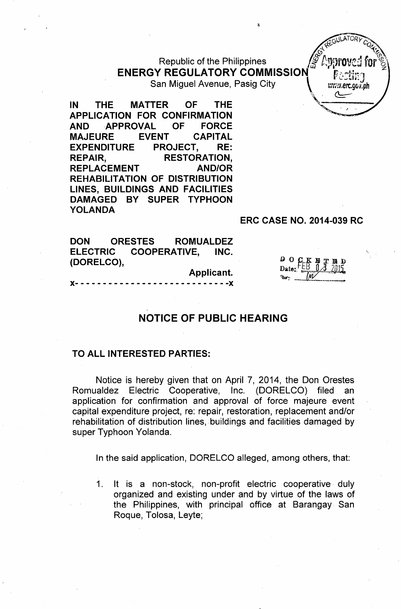Republic of the Philippines ENERGY REGULATORY COMMISSION

San Miguel Avenue, Pasig City \ immer.gov.ph

IN THE MATTER OF THE APPLICATION FOR CONFIRMATION AND -APPROVAL OF FORCE MAJEURE EVENT CAPITAL EXPENDITURE PROJECT, RE: REPAIR, RESTORATION, REPLACEMENT AND/OR REHABILITATION OF DISTRIBUTION LINES, BUILDINGS AND FACILITIES DAMAGED BY SUPER TYPHOON YOLANDA

### ERC CASE NO. 2014-039 RC

DON ORESTES ROMUALDEZ ELECTRIC COOPERATIVE, INC. (DORELCO),

Applicant.

 $- - - - -$ 

D O C Date:

 $\mathbb{E}$ GULATORY  $\mathbb{E}$  $x^{\alpha}$ 

for  $\mathbb{S}\setminus$ ;z.

t:mnovej *i'•*

.1# *IJ.J*

# NOTICE OF PUBLIC HEARING

### TO ALL INTERESTED PARTIES:

Notice is hereby given that on April 7, 2014, the Don Orestes Romualdez Electric Cooperative, Inc. (DORELCO) filed an application for confirmation and approval of force majeure event capital expenditure project, re: repair, restoration, replacement and/or rehabilitation of distribution lines, buildings and facilities damaged by super Typhoon Yolanda.

In the said application, DORELCO alleged, among others, that:

1. It is a non-stock, non-profit electric cooperative duly organized and existing under and by virtue of the laws of the Philippines, with principal office at Barangay. San Roque, Tolosa, Leyte;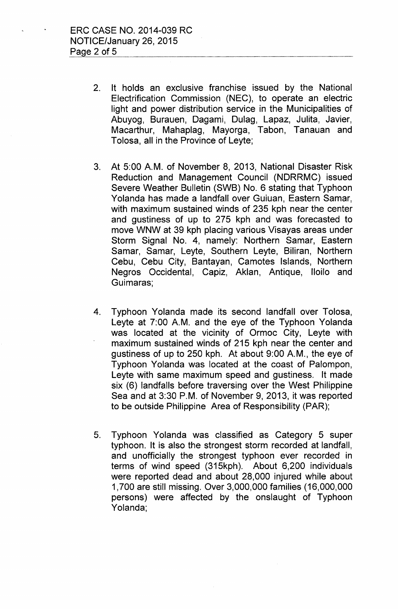- 2. It holds an exclusive franchise issued by the National Electrification Commission (NEC), to operate an electric light and power distribution service in the Municipalities of Abuyog, Burauen, Dagami, Dulag, Lapaz, Julita, Javier, Macarthur, Mahaplag, Mayorga, Tabon, Tanauan and Tolosa, all in the Province of Leyte;
- 3. At 5:00 A.M. of November 8, 2013, National Disaster Risk Reduction and Management Council (NDRRMC) issued Severe Weather Bulletin (SWB) No. 6 stating that Typhoon Yolanda has made a landfall over Guiuan, Eastern Samar, with maximum sustained winds of 235 kph near the center and gustiness of up to 275 kph and was forecasted to move WNW at 39 kph placing various Visayas areas under Storm Signal No. 4, namely: Northern Samar, Eastern Samar, Samar, Leyte, Southern Leyte, Biliran, Northern Cebu, Cebu City, Bantayan, Camotes Islands, Northern Negros Occidental, Capiz, Aklan, Antique, Iloilo and Guimaras;
- 4. Typhoon Yolanda made its second landfall over Tolosa, Leyte at 7:00 A.M. and the eye of the Typhoon Yolanda was located at the vicinity of Ormoc City, Leyte with maximum sustained winds of 215 kph near the center and gustiness of up to 250 kph. At about 9:00 A.M., the eye of Typhoon Yolanda was located at the coast of Palompon, Leyte with same maximum speed and gustiness. It made six (6) landfalls before traversing over the West Philippine Sea and at 3:30 P.M. of November 9, 2013, it was reported to be outside Philippine Area of Responsibility (PAR);
- 5. Typhoon Yolanda was classified as Category 5 super typhoon. It is also the strongest storm recorded at landfall, and unofficially the strongest typhoon ever recorded in terms of wind speed (315kph). About 6,200 individuals were reported dead and about 28,000 injured while about 1,700 are still missing. Over 3,000,000 families (16,000,000 persons) were affected by the onslaught of Typhoon Yolanda;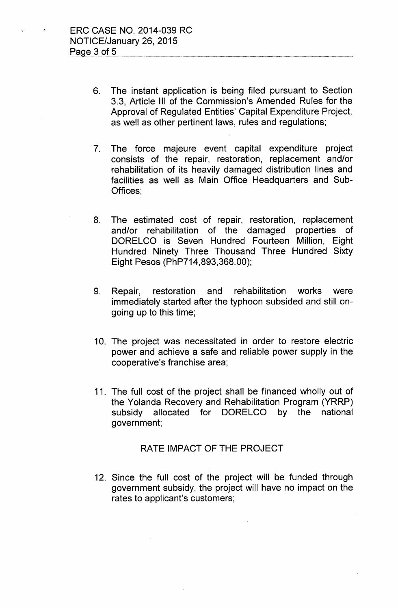- 6. The instant application is being filed pursuant to Section 3.3, Article III of the Commission's Amended Rules for the Approval of Regulated Entities' Capital Expenditure Project, as well as other pertinent laws, rules and regulations;
- 7. The force majeure event capital expenditure project consists of the repair, restoration, replacement and/or rehabilitation of its heavily damaged distribution lines and facilities as well as Main Office Headquarters and Sub-Offices;
- 8. The estimated cost of repair, restoration, replacement and/or rehabilitation of the damaged properties of DORELCO is Seven Hundred Fourteen Million, Eight Hundred Ninety Three Thousand Three Hundred Sixty Eight Pesos (PhP714,893,368.00);
- 9. Repair, restoration and rehabilitation works were immediately started after the typhoon subsided and still ongoing up to this time;
- 10. The project was necessitated in order to restore electric power and achieve a safe and reliable power supply in the cooperative's franchise area;
- 11. The full cost of the project shall be financed wholly out of the Yolanda Recovery and Rehabilitation Program (YRRP) subsidy allocated for DORELCO by the national government;

#### RATE IMPACT OF THE PROJECT

12. Since the full cost of the project will be funded through government subsidy, the project will have no impact on the rates to applicant's customers;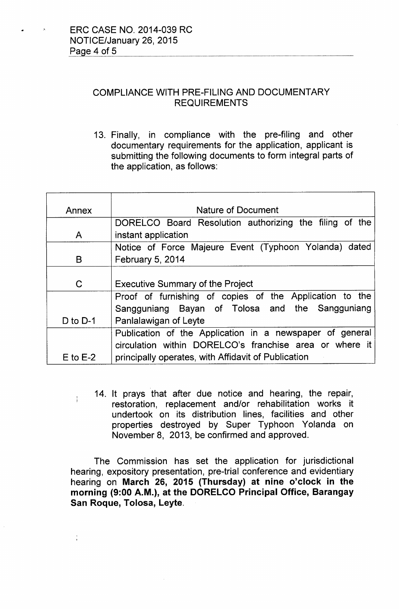ţ.

## COMPLIANCE WITH PRE-FILING AND DOCUMENTARY REQUIREMENTS

13. Finally, in compliance with the pre-filing and other documentary requirements for the application, applicant is submitting the following documents to form integral parts of the application, as follows:

| Annex        | Nature of Document                                       |
|--------------|----------------------------------------------------------|
|              | DORELCO Board Resolution authorizing the filing of the   |
| A            | instant application                                      |
|              | Notice of Force Majeure Event (Typhoon Yolanda) dated    |
| B            | <b>February 5, 2014</b>                                  |
|              |                                                          |
| C            | <b>Executive Summary of the Project</b>                  |
|              | Proof of furnishing of copies of the Application to the  |
|              | Sangguniang Bayan of Tolosa and the Sangguniang          |
| D to $D-1$   | Panlalawigan of Leyte                                    |
|              | Publication of the Application in a newspaper of general |
|              | circulation within DORELCO's franchise area or where it  |
| $E$ to $E-2$ | principally operates, with Affidavit of Publication      |

14. It prays that after due notice and hearing, the repair, restoration, replacement and/or rehabilitation works it undertook on its distribution lines, facilities and other properties destroyed by Super Typhoon Yolanda on November 8, 2013, be confirmed and approved.

The Commission has set the application for jurisdictional hearing, expository presentation, pre-trial conference and evidentiary hearing on March 26, 2015 (Thursday) at nine o'clock in the morning (9:00 A.M.), at the DORELCO Principal Office, Barangay San Roque, Tolosa, Leyte.